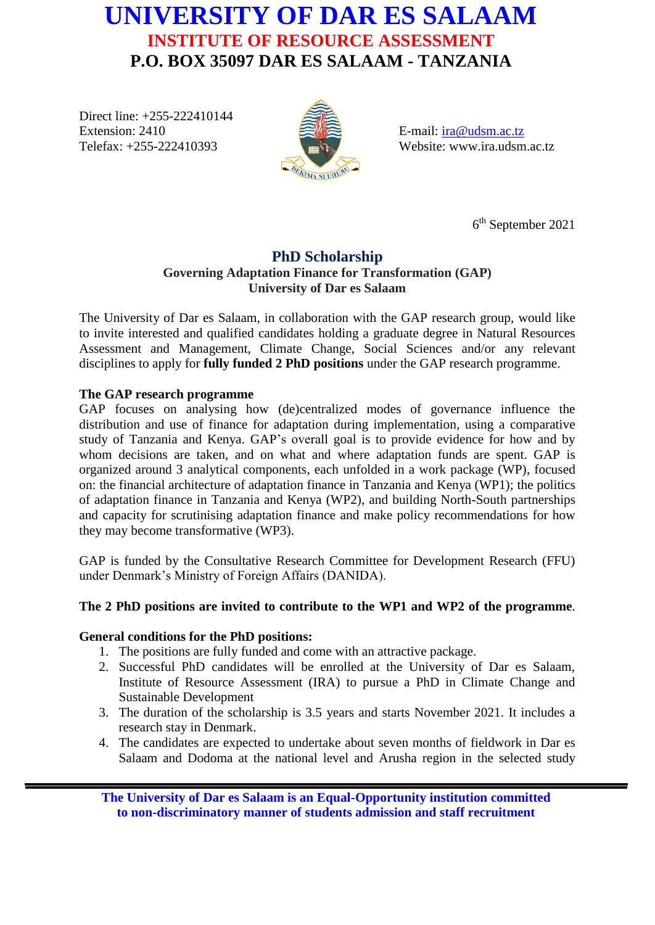# **UNIVERSITY OF DAR ES SALAAM INSTITUTE OF RESOURCE ASSESSMENT P.O. BOX 35097 DAR ES SALAAM - TANZANIA**

Direct line: +255-222410144 Extension: 2410 Telefax: +255-222410393



E-mail: [ira@udsm.ac.tz](mailto:ira@udsm.ac.tz) Website: www.ira.udsm.ac.tz

6 th September 2021

# **PhD Scholarship Governing Adaptation Finance for Transformation (GAP) University of Dar es Salaam**

The University of Dar es Salaam, in collaboration with the GAP research group, would like to invite interested and qualified candidates holding a graduate degree in Natural Resources Assessment and Management, Climate Change, Social Sciences and/or any relevant disciplines to apply for **fully funded 2 PhD positions** under the GAP research programme.

# **The GAP research programme**

GAP focuses on analysing how (de)centralized modes of governance influence the distribution and use of finance for adaptation during implementation, using a comparative study of Tanzania and Kenya. GAP's overall goal is to provide evidence for how and by whom decisions are taken, and on what and where adaptation funds are spent. GAP is organized around 3 analytical components, each unfolded in a work package (WP), focused on: the financial architecture of adaptation finance in Tanzania and Kenya (WP1); the politics of adaptation finance in Tanzania and Kenya (WP2), and building North-South partnerships and capacity for scrutinising adaptation finance and make policy recommendations for how they may become transformative (WP3).

GAP is funded by the Consultative Research Committee for Development Research (FFU) under Denmark's Ministry of Foreign Affairs (DANIDA).

# **The 2 PhD positions are invited to contribute to the WP1 and WP2 of the programme**.

#### **General conditions for the PhD positions:**

- 1. The positions are fully funded and come with an attractive package.
- 2. Successful PhD candidates will be enrolled at the University of Dar es Salaam, Institute of Resource Assessment (IRA) to pursue a PhD in Climate Change and Sustainable Development
- 3. The duration of the scholarship is 3.5 years and starts November 2021. It includes a research stay in Denmark.
- 4. The candidates are expected to undertake about seven months of fieldwork in Dar es Salaam and Dodoma at the national level and Arusha region in the selected study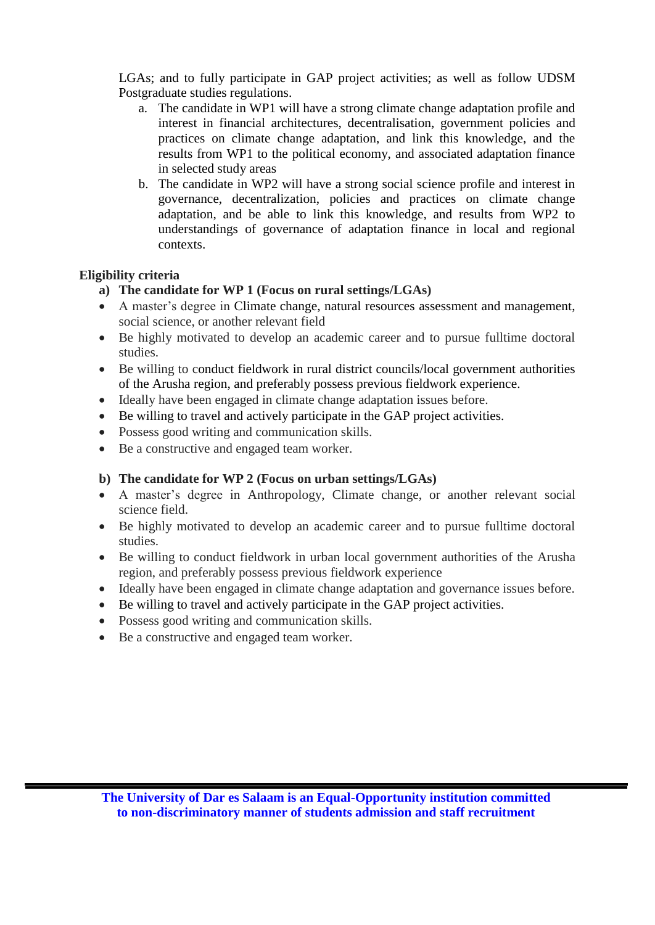LGAs; and to fully participate in GAP project activities; as well as follow UDSM Postgraduate studies regulations.

- a. The candidate in WP1 will have a strong climate change adaptation profile and interest in financial architectures, decentralisation, government policies and practices on climate change adaptation, and link this knowledge, and the results from WP1 to the political economy, and associated adaptation finance in selected study areas
- b. The candidate in WP2 will have a strong social science profile and interest in governance, decentralization, policies and practices on climate change adaptation, and be able to link this knowledge, and results from WP2 to understandings of governance of adaptation finance in local and regional contexts.

# **Eligibility criteria**

- **a) The candidate for WP 1 (Focus on rural settings/LGAs)**
- A master's degree in Climate change, natural resources assessment and management, social science, or another relevant field
- Be highly motivated to develop an academic career and to pursue fulltime doctoral studies.
- Be willing to conduct fieldwork in rural district councils/local government authorities of the Arusha region, and preferably possess previous fieldwork experience.
- Ideally have been engaged in climate change adaptation issues before.
- Be willing to travel and actively participate in the GAP project activities.
- Possess good writing and communication skills.
- Be a constructive and engaged team worker.

#### **b) The candidate for WP 2 (Focus on urban settings/LGAs)**

- A master's degree in Anthropology, Climate change, or another relevant social science field.
- Be highly motivated to develop an academic career and to pursue fulltime doctoral studies.
- Be willing to conduct fieldwork in urban local government authorities of the Arusha region, and preferably possess previous fieldwork experience
- Ideally have been engaged in climate change adaptation and governance issues before.
- Be willing to travel and actively participate in the GAP project activities.
- Possess good writing and communication skills.
- Be a constructive and engaged team worker.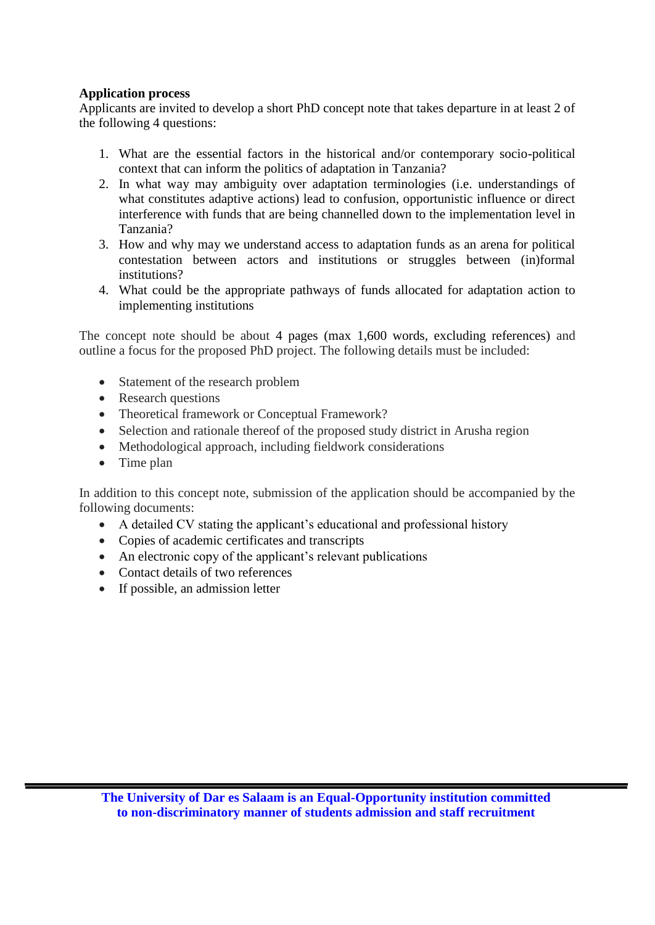#### **Application process**

Applicants are invited to develop a short PhD concept note that takes departure in at least 2 of the following 4 questions:

- 1. What are the essential factors in the historical and/or contemporary socio-political context that can inform the politics of adaptation in Tanzania?
- 2. In what way may ambiguity over adaptation terminologies (i.e. understandings of what constitutes adaptive actions) lead to confusion, opportunistic influence or direct interference with funds that are being channelled down to the implementation level in Tanzania?
- 3. How and why may we understand access to adaptation funds as an arena for political contestation between actors and institutions or struggles between (in)formal institutions?
- 4. What could be the appropriate pathways of funds allocated for adaptation action to implementing institutions

The concept note should be about 4 pages (max 1,600 words, excluding references) and outline a focus for the proposed PhD project. The following details must be included:

- Statement of the research problem
- Research questions
- Theoretical framework or Conceptual Framework?
- Selection and rationale thereof of the proposed study district in Arusha region
- Methodological approach, including fieldwork considerations
- Time plan

In addition to this concept note, submission of the application should be accompanied by the following documents:

- A detailed CV stating the applicant's educational and professional history
- Copies of academic certificates and transcripts
- An electronic copy of the applicant's relevant publications
- Contact details of two references
- If possible, an admission letter